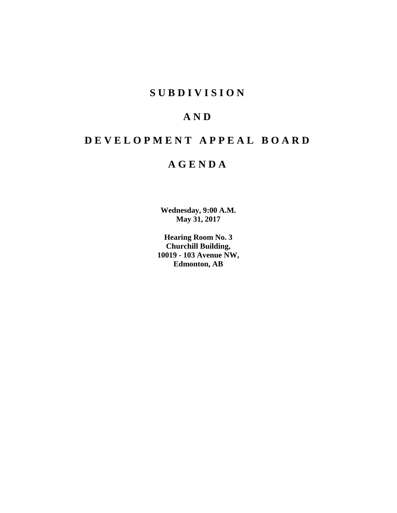# **S U B D I V I S I O N**

# **A N D**

# **D E V E L O P M E N T A P P E A L B O A R D**

# **A G E N D A**

**Wednesday, 9:00 A.M. May 31, 2017**

**Hearing Room No. 3 Churchill Building, 10019 - 103 Avenue NW, Edmonton, AB**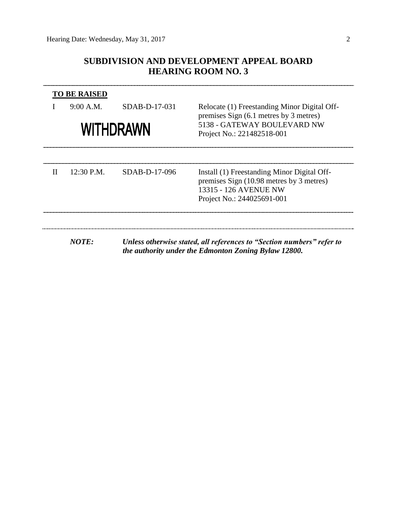## **SUBDIVISION AND DEVELOPMENT APPEAL BOARD HEARING ROOM NO. 3**

| <b>TO BE RAISED</b>                                                                                                                           |                  |                 |                                                                                                                                                |  |  |  |  |
|-----------------------------------------------------------------------------------------------------------------------------------------------|------------------|-----------------|------------------------------------------------------------------------------------------------------------------------------------------------|--|--|--|--|
|                                                                                                                                               | 9:00 A.M.        | $SDAB-D-17-031$ | Relocate (1) Freestanding Minor Digital Off-<br>premises Sign (6.1 metres by 3 metres)                                                         |  |  |  |  |
|                                                                                                                                               | <b>WITHDRAWN</b> |                 | 5138 - GATEWAY BOULEVARD NW<br>Project No.: 221482518-001                                                                                      |  |  |  |  |
| $\mathbf{H}$                                                                                                                                  | $12:30$ P.M.     | SDAB-D-17-096   | Install (1) Freestanding Minor Digital Off-<br>premises Sign (10.98 metres by 3 metres)<br>13315 - 126 AVENUE NW<br>Project No.: 244025691-001 |  |  |  |  |
| <b>NOTE:</b><br>Unless otherwise stated, all references to "Section numbers" refer to<br>the authority under the Edmonton Zoning Bylaw 12800. |                  |                 |                                                                                                                                                |  |  |  |  |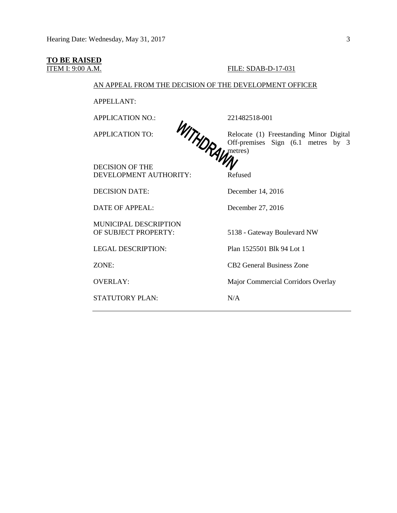# **TO BE RAISED**

#### FILE: SDAB-D-17-031

## AN APPEAL FROM THE DECISION OF THE DEVELOPMENT OFFICER

APPELLANT:

APPLICATION NO.: 221482518-001

APPLICATION TO:  $\sqrt{V}$ , Relocate (1) Freestanding Minor Digital Off-premises Sign (6.1 metres by 3 metres)

DECISION OF THE DEVELOPMENT AUTHORITY: Refused

DECISION DATE: December 14, 2016

DATE OF APPEAL: December 27, 2016

MUNICIPAL DESCRIPTION OF SUBJECT PROPERTY: 5138 - Gateway Boulevard NW

STATUTORY PLAN: N/A

LEGAL DESCRIPTION: Plan 1525501 Blk 94 Lot 1

ZONE: CB2 General Business Zone

OVERLAY: Major Commercial Corridors Overlay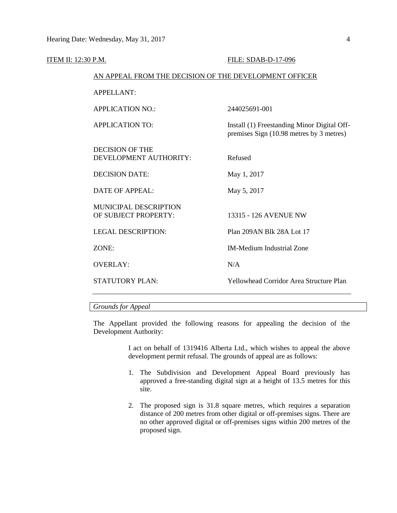| ITEM II: 12:30 P.M.                                    |                                                      | FILE: SDAB-D-17-096                                                                     |  |  |
|--------------------------------------------------------|------------------------------------------------------|-----------------------------------------------------------------------------------------|--|--|
| AN APPEAL FROM THE DECISION OF THE DEVELOPMENT OFFICER |                                                      |                                                                                         |  |  |
| <b>APPELLANT:</b>                                      |                                                      |                                                                                         |  |  |
|                                                        | <b>APPLICATION NO.:</b>                              | 244025691-001                                                                           |  |  |
|                                                        | <b>APPLICATION TO:</b>                               | Install (1) Freestanding Minor Digital Off-<br>premises Sign (10.98 metres by 3 metres) |  |  |
|                                                        | <b>DECISION OF THE</b><br>DEVELOPMENT AUTHORITY:     | Refused                                                                                 |  |  |
|                                                        | <b>DECISION DATE:</b>                                | May 1, 2017                                                                             |  |  |
|                                                        | <b>DATE OF APPEAL:</b>                               | May 5, 2017                                                                             |  |  |
|                                                        | <b>MUNICIPAL DESCRIPTION</b><br>OF SUBJECT PROPERTY: | 13315 - 126 AVENUE NW                                                                   |  |  |
|                                                        | <b>LEGAL DESCRIPTION:</b>                            | Plan 209AN Blk 28A Lot 17                                                               |  |  |
|                                                        | ZONE:                                                | <b>IM-Medium Industrial Zone</b>                                                        |  |  |
|                                                        | <b>OVERLAY:</b>                                      | N/A                                                                                     |  |  |
|                                                        | <b>STATUTORY PLAN:</b>                               | <b>Yellowhead Corridor Area Structure Plan</b>                                          |  |  |
|                                                        |                                                      |                                                                                         |  |  |

## *Grounds for Appeal*

The Appellant provided the following reasons for appealing the decision of the Development Authority:

> I act on behalf of 1319416 Alberta Ltd., which wishes to appeal the above development permit refusal. The grounds of appeal are as follows:

- 1. The Subdivision and Development Appeal Board previously has approved a free-standing digital sign at a height of 13.5 metres for this site.
- 2. The proposed sign is 31.8 square metres, which requires a separation distance of 200 metres from other digital or off-premises signs. There are no other approved digital or off-premises signs within 200 metres of the proposed sign.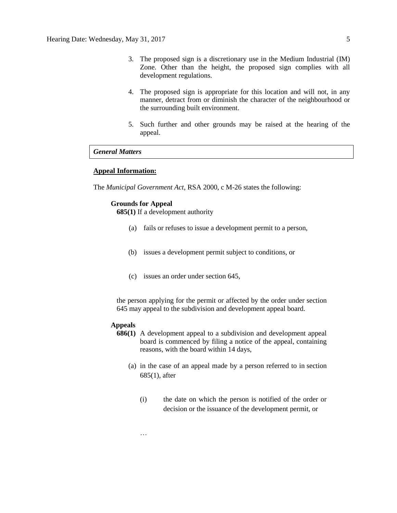- 3. The proposed sign is a discretionary use in the Medium Industrial (IM) Zone. Other than the height, the proposed sign complies with all development regulations.
- 4. The proposed sign is appropriate for this location and will not, in any manner, detract from or diminish the character of the neighbourhood or the surrounding built environment.
- 5. Such further and other grounds may be raised at the hearing of the appeal.

## *General Matters*

#### **Appeal Information:**

The *Municipal Government Act*, RSA 2000, c M-26 states the following:

#### **Grounds for Appeal**

**685(1)** If a development authority

- (a) fails or refuses to issue a development permit to a person,
- (b) issues a development permit subject to conditions, or
- (c) issues an order under section 645,

the person applying for the permit or affected by the order under section 645 may appeal to the subdivision and development appeal board.

#### **Appeals**

…

- **686(1)** A development appeal to a subdivision and development appeal board is commenced by filing a notice of the appeal, containing reasons, with the board within 14 days,
	- (a) in the case of an appeal made by a person referred to in section 685(1), after
		- (i) the date on which the person is notified of the order or decision or the issuance of the development permit, or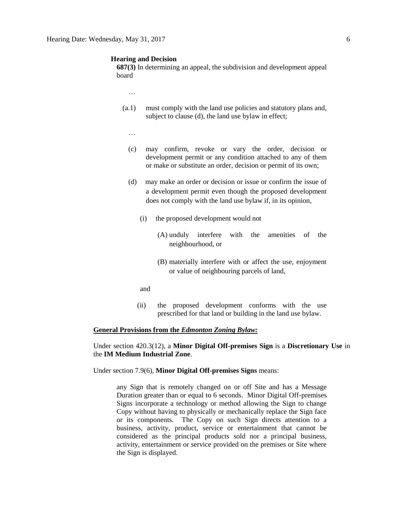#### **Hearing and Decision**

**687(3)** In determining an appeal, the subdivision and development appeal board

…

- (a.1) must comply with the land use policies and statutory plans and, subject to clause (d), the land use bylaw in effect;
	- …
	- (c) may confirm, revoke or vary the order, decision or development permit or any condition attached to any of them or make or substitute an order, decision or permit of its own;
	- (d) may make an order or decision or issue or confirm the issue of a development permit even though the proposed development does not comply with the land use bylaw if, in its opinion,
		- (i) the proposed development would not
			- (A) unduly interfere with the amenities of the neighbourhood, or
			- (B) materially interfere with or affect the use, enjoyment or value of neighbouring parcels of land,
		- and
		- (ii) the proposed development conforms with the use prescribed for that land or building in the land use bylaw.

#### **General Provisions from the** *Edmonton Zoning Bylaw:*

Under section 420.3(12), a **Minor Digital Off-premises Sign** is a **Discretionary Use** in the **IM Medium Industrial Zone**.

Under section 7.9(6), **Minor Digital Off-premises Signs** means:

any Sign that is remotely changed on or off Site and has a Message Duration greater than or equal to 6 seconds. Minor Digital Off-premises Signs incorporate a technology or method allowing the Sign to change Copy without having to physically or mechanically replace the Sign face or its components. The Copy on such Sign directs attention to a business, activity, product, service or entertainment that cannot be considered as the principal products sold nor a principal business, activity, entertainment or service provided on the premises or Site where the Sign is displayed.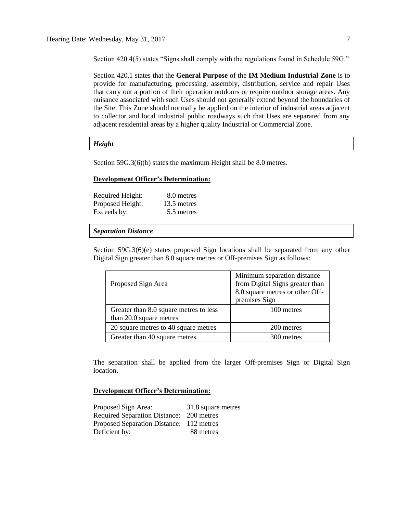Section 420.4(5) states "Signs shall comply with the regulations found in Schedule 59G."

Section 420.1 states that the **General Purpose** of the **IM Medium Industrial Zone** is to provide for manufacturing, processing, assembly, distribution, service and repair Uses that carry out a portion of their operation outdoors or require outdoor storage areas. Any nuisance associated with such Uses should not generally extend beyond the boundaries of the Site. This Zone should normally be applied on the interior of industrial areas adjacent to collector and local industrial public roadways such that Uses are separated from any adjacent residential areas by a higher quality Industrial or Commercial Zone.

#### *Height*

Section 59G.3(6)(b) states the maximum Height shall be 8.0 metres.

#### **Development Officer's Determination:**

| Required Height: | 8.0 metres  |
|------------------|-------------|
| Proposed Height: | 13.5 metres |
| Exceeds by:      | 5.5 metres  |

#### *Separation Distance*

Section 59G.3(6)(e) states proposed Sign locations shall be separated from any other Digital Sign greater than [8.0](javascript:void(0);) square metres or Off-premises Sign as follows:

| Proposed Sign Area                                                | Minimum separation distance<br>from Digital Signs greater than<br>8.0 square metres or other Off-<br>premises Sign |
|-------------------------------------------------------------------|--------------------------------------------------------------------------------------------------------------------|
| Greater than 8.0 square metres to less<br>than 20.0 square metres | 100 metres                                                                                                         |
| 20 square metres to 40 square metres                              | 200 metres                                                                                                         |
| Greater than 40 square metres                                     | 300 metres                                                                                                         |

The separation shall be applied from the larger Off-premises Sign or Digital Sign location.

#### **Development Officer's Determination:**

| Proposed Sign Area:                      | 31.8 square metres |
|------------------------------------------|--------------------|
| Required Separation Distance: 200 metres |                    |
| Proposed Separation Distance: 112 metres |                    |
| Deficient by:                            | 88 metres          |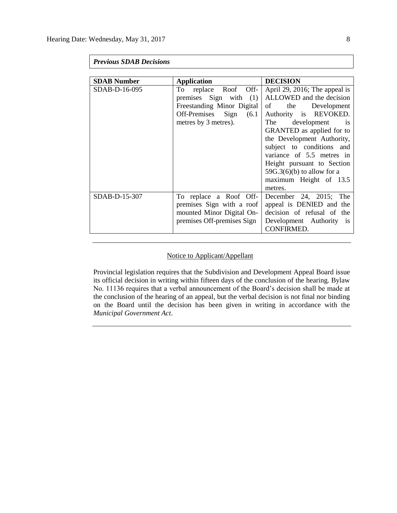| <b>SDAB Number</b> | Application                                                                                                                        | <b>DECISION</b>                                                                                                                                                                                                                                                                                                                                                               |  |  |  |
|--------------------|------------------------------------------------------------------------------------------------------------------------------------|-------------------------------------------------------------------------------------------------------------------------------------------------------------------------------------------------------------------------------------------------------------------------------------------------------------------------------------------------------------------------------|--|--|--|
| SDAB-D-16-095      | To replace Roof Off-<br>premises Sign with<br>(1)<br>Freestanding Minor Digital<br>Off-Premises Sign (6.1)<br>metres by 3 metres). | April 29, 2016; The appeal is<br>ALLOWED and the decision<br>of<br>the Development<br>Authority is REVOKED.<br>The<br>development<br>$\overline{1}$ s<br>GRANTED as applied for to<br>the Development Authority,<br>subject to conditions and<br>variance of 5.5 metres in<br>Height pursuant to Section<br>$59G.3(6)(b)$ to allow for a<br>maximum Height of 13.5<br>metres. |  |  |  |
| SDAB-D-15-307      | To replace a Roof Off-<br>premises Sign with a roof<br>mounted Minor Digital On-<br>premises Off-premises Sign                     | December 24, 2015; The<br>appeal is DENIED and the<br>decision of refusal of the<br>Development Authority is<br><b>CONFIRMED.</b>                                                                                                                                                                                                                                             |  |  |  |

## *Previous SDAB Decisions*

### Notice to Applicant/Appellant

Provincial legislation requires that the Subdivision and Development Appeal Board issue its official decision in writing within fifteen days of the conclusion of the hearing. Bylaw No. 11136 requires that a verbal announcement of the Board's decision shall be made at the conclusion of the hearing of an appeal, but the verbal decision is not final nor binding on the Board until the decision has been given in writing in accordance with the *Municipal Government Act*.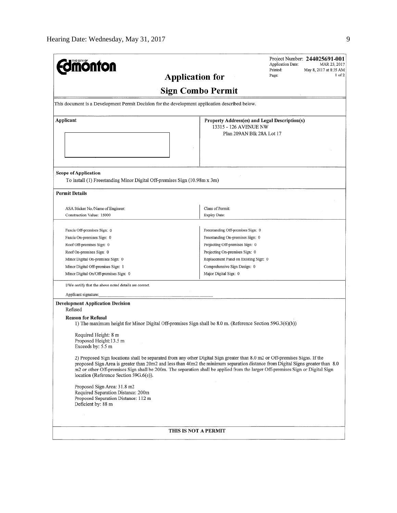| <b>Imönton</b>                                                                                                                                                                                                                                                   |                                               | Application Date:<br>Printed: | Project Number: 244025691-001<br>MAR 23, 2017<br>May 8, 2017 at 8:35 AM |
|------------------------------------------------------------------------------------------------------------------------------------------------------------------------------------------------------------------------------------------------------------------|-----------------------------------------------|-------------------------------|-------------------------------------------------------------------------|
| <b>Application for</b>                                                                                                                                                                                                                                           |                                               |                               | $1$ of $2$                                                              |
|                                                                                                                                                                                                                                                                  | <b>Sign Combo Permit</b>                      |                               |                                                                         |
| This document is a Development Permit Decision for the development application described below.                                                                                                                                                                  |                                               |                               |                                                                         |
|                                                                                                                                                                                                                                                                  |                                               |                               |                                                                         |
| Applicant                                                                                                                                                                                                                                                        | Property Address(es) and Legal Description(s) |                               |                                                                         |
|                                                                                                                                                                                                                                                                  | 13315 - 126 AVENUE NW                         |                               |                                                                         |
|                                                                                                                                                                                                                                                                  | Plan 209AN Blk 28A Lot 17                     |                               |                                                                         |
|                                                                                                                                                                                                                                                                  |                                               |                               |                                                                         |
|                                                                                                                                                                                                                                                                  |                                               |                               |                                                                         |
|                                                                                                                                                                                                                                                                  |                                               |                               |                                                                         |
| <b>Scope of Application</b>                                                                                                                                                                                                                                      |                                               |                               |                                                                         |
| To install (1) Freestanding Minor Digital Off-premises Sign (10.98m x 3m)                                                                                                                                                                                        |                                               |                               |                                                                         |
| <b>Permit Details</b>                                                                                                                                                                                                                                            |                                               |                               |                                                                         |
|                                                                                                                                                                                                                                                                  |                                               |                               |                                                                         |
| ASA Sticker No./Name of Engineer:                                                                                                                                                                                                                                | Class of Permit:                              |                               |                                                                         |
| Construction Value: 15000                                                                                                                                                                                                                                        | Expiry Date:                                  |                               |                                                                         |
| Fascia Off-premises Sign: 0                                                                                                                                                                                                                                      | Freestanding Off-premises Sign: 0             |                               |                                                                         |
| Fascia On-premises Sign: 0                                                                                                                                                                                                                                       | Freestanding On-premises Sign: 0              |                               |                                                                         |
| Roof Off-premises Sign: 0                                                                                                                                                                                                                                        | Projecting Off-premises Sign: 0               |                               |                                                                         |
| Roof On-premises Sign: 0                                                                                                                                                                                                                                         | Projecting On-premises Sign: 0                |                               |                                                                         |
| Minor Digital On-premises Sign: 0                                                                                                                                                                                                                                | Replacement Panel on Existing Sign: 0         |                               |                                                                         |
| Minor Digital Off-premises Sign: 1                                                                                                                                                                                                                               | Comprehensive Sign Design: 0                  |                               |                                                                         |
| Minor Digital On/Off-premises Sign: 0                                                                                                                                                                                                                            | Major Digital Sign: 0                         |                               |                                                                         |
| I/We certify that the above noted details are correct.                                                                                                                                                                                                           |                                               |                               |                                                                         |
| Applicant signature:                                                                                                                                                                                                                                             |                                               |                               |                                                                         |
| <b>Development Application Decision</b><br>Refused                                                                                                                                                                                                               |                                               |                               |                                                                         |
| <b>Reason for Refusal</b>                                                                                                                                                                                                                                        |                                               |                               |                                                                         |
| 1) The maximum height for Minor Digital Off-premises Sign shall be 8.0 m. (Reference Section 59G.3(6)(b))                                                                                                                                                        |                                               |                               |                                                                         |
| Required Height: 8 m                                                                                                                                                                                                                                             |                                               |                               |                                                                         |
| Proposed Height:13.5 m<br>Exceeds by: 5.5 m                                                                                                                                                                                                                      |                                               |                               |                                                                         |
|                                                                                                                                                                                                                                                                  |                                               |                               |                                                                         |
| 2) Proposed Sign locations shall be separated from any other Digital Sign greater than 8.0 m2 or Off-premises Signs. If the                                                                                                                                      |                                               |                               |                                                                         |
| proposed Sign Area is greater than 20m2 and less than 40m2 the minimum separation distance from Digital Signs greater than 8.0<br>m2 or other Off-premises Sign shall be 200m. The separation shall be applied from the larger Off-premises Sign or Digital Sign |                                               |                               |                                                                         |
| location (Reference Section 59G.6(e)).                                                                                                                                                                                                                           |                                               |                               |                                                                         |
|                                                                                                                                                                                                                                                                  |                                               |                               |                                                                         |
| Proposed Sign Area: 31.8 m2<br>Required Separation Distance: 200m                                                                                                                                                                                                |                                               |                               |                                                                         |
| Proposed Separation Distance: 112 m                                                                                                                                                                                                                              |                                               |                               |                                                                         |
| Deficient by: 88 m                                                                                                                                                                                                                                               |                                               |                               |                                                                         |
| $\lambda$                                                                                                                                                                                                                                                        |                                               |                               |                                                                         |
|                                                                                                                                                                                                                                                                  | THIS IS NOT A PERMIT                          |                               |                                                                         |
|                                                                                                                                                                                                                                                                  |                                               |                               |                                                                         |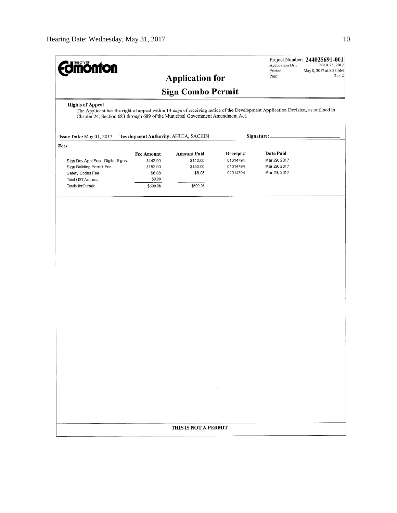| <b>Edmonton</b>                                                                                                                                                                                                                               |            |                                      |          |                   | Project Number: 244025691-001<br>Application Date:<br>MAR 23, 2017 |  |  |
|-----------------------------------------------------------------------------------------------------------------------------------------------------------------------------------------------------------------------------------------------|------------|--------------------------------------|----------|-------------------|--------------------------------------------------------------------|--|--|
|                                                                                                                                                                                                                                               |            | <b>Application for</b>               |          | Printed:<br>Page: | May 8, 2017 at 8:35 AM<br>2 of 2                                   |  |  |
| <b>Sign Combo Permit</b>                                                                                                                                                                                                                      |            |                                      |          |                   |                                                                    |  |  |
| <b>Rights of Appeal</b><br>The Applicant has the right of appeal within 14 days of receiving notice of the Development Application Decision, as outlined in<br>Chapter 24, Section 683 through 689 of the Municipal Government Amendment Act. |            |                                      |          |                   |                                                                    |  |  |
| Issue Date: May 01, 2017                                                                                                                                                                                                                      |            | Development Authority: AHUJA, SACHIN |          | Signature:        |                                                                    |  |  |
| Fees                                                                                                                                                                                                                                          | Fee Amount | <b>Amount Paid</b>                   | Receipt# | Date Paid         |                                                                    |  |  |
| Sign Dev Appl Fee - Digital Signs                                                                                                                                                                                                             | \$442.00   | \$442.00                             | 04014794 | Mar 29, 2017      |                                                                    |  |  |
| Sign Building Permit Fee                                                                                                                                                                                                                      | \$152.00   | \$152.00                             | 04014794 | Mar 29, 2017      |                                                                    |  |  |
| Safety Codes Fee                                                                                                                                                                                                                              | \$6.08     | \$6.08                               | 04014794 | Mar 29, 2017      |                                                                    |  |  |
| Total GST Amount:                                                                                                                                                                                                                             | \$0.00     |                                      |          |                   |                                                                    |  |  |
| Totals for Permit:                                                                                                                                                                                                                            | \$600.08   | \$600.08                             |          |                   |                                                                    |  |  |
|                                                                                                                                                                                                                                               |            |                                      |          |                   |                                                                    |  |  |
|                                                                                                                                                                                                                                               |            | $\sim$<br>$\alpha$ .                 |          |                   |                                                                    |  |  |
| THIS IS NOT A PERMIT                                                                                                                                                                                                                          |            |                                      |          |                   |                                                                    |  |  |